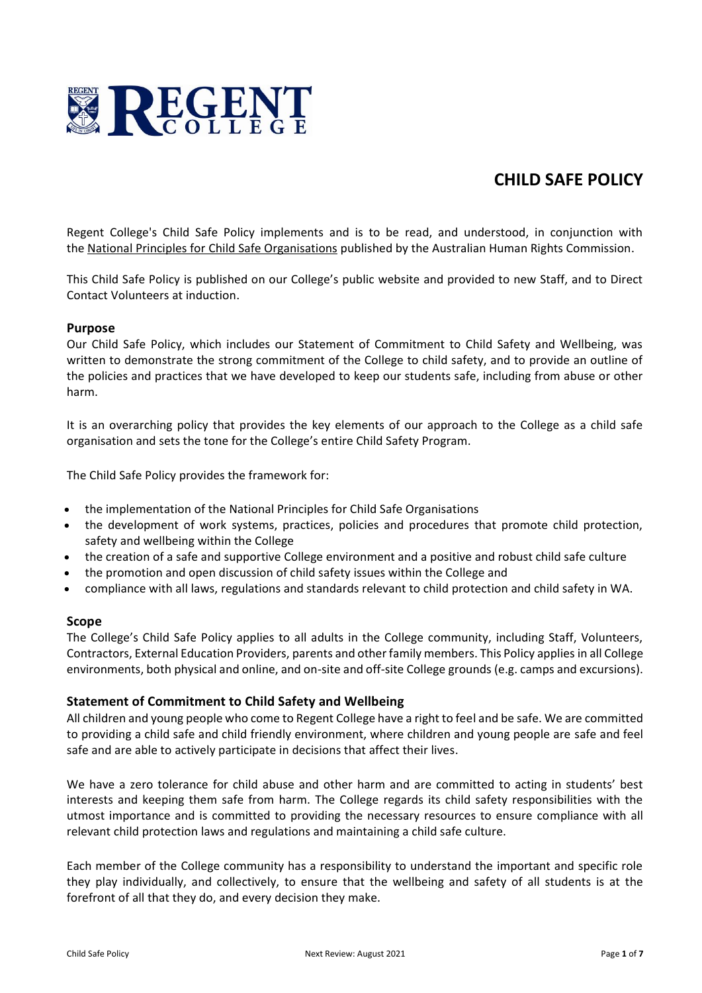

# **CHILD SAFE POLICY**

Regent College's Child Safe Policy implements and is to be read, and understood, in conjunction with the National Principles for Child Safe [Organisations](https://www.humanrights.gov.au/sites/default/files/National%20Principles%20for%20Child%20Safe%20Organisations.pdf) published by the Australian Human Rights Commission.

This Child Safe Policy is published on our College's public website and provided to new Staff, and to Direct Contact Volunteers at induction.

# **Purpose**

Our Child Safe Policy, which includes our Statement of Commitment to Child Safety and Wellbeing, was written to demonstrate the strong commitment of the College to child safety, and to provide an outline of the policies and practices that we have developed to keep our students safe, including from abuse or other harm.

It is an overarching policy that provides the key elements of our approach to the College as a child safe organisation and sets the tone for the College's entire Child Safety Program.

The Child Safe Policy provides the framework for:

- the implementation of the National Principles for Child Safe Organisations
- the development of work systems, practices, policies and procedures that promote child protection, safety and wellbeing within the College
- the creation of a safe and supportive College environment and a positive and robust child safe culture
- the promotion and open discussion of child safety issues within the College and
- compliance with all laws, regulations and standards relevant to child protection and child safety in WA.

#### **Scope**

The College's Child Safe Policy applies to all adults in the College community, including Staff, Volunteers, Contractors, External Education Providers, parents and other family members. This Policy applies in all College environments, both physical and online, and on-site and off-site College grounds (e.g. camps and excursions).

# **Statement of Commitment to Child Safety and Wellbeing**

All children and young people who come to Regent College have a right to feel and be safe. We are committed to providing a child safe and child friendly environment, where children and young people are safe and feel safe and are able to actively participate in decisions that affect their lives.

We have a zero tolerance for child abuse and other harm and are committed to acting in students' best interests and keeping them safe from harm. The College regards its child safety responsibilities with the utmost importance and is committed to providing the necessary resources to ensure compliance with all relevant child protection laws and regulations and maintaining a child safe culture.

Each member of the College community has a responsibility to understand the important and specific role they play individually, and collectively, to ensure that the wellbeing and safety of all students is at the forefront of all that they do, and every decision they make.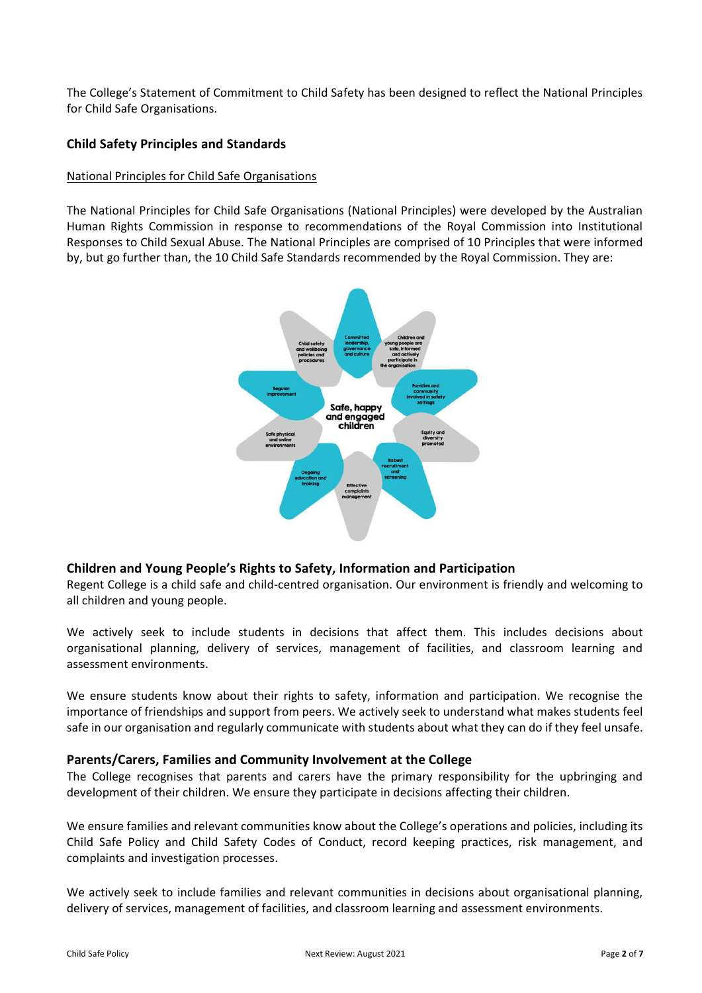The College's Statement of Commitment to Child Safety has been designed to reflect the National Principles for Child Safe Organisations.

# **Child Safety Principles and Standards**

## National Principles for Child Safe Organisations

The National Principles for Child Safe Organisations (National Principles) were developed by the Australian Human Rights Commission in response to recommendations of the Royal Commission into Institutional Responses to Child Sexual Abuse. The National Principles are comprised of 10 Principles that were informed by, but go further than, the 10 Child Safe Standards recommended by the Royal Commission. They are:



# **Children and Young People's Rights to Safety, Information and Participation**

Regent College is a child safe and child-centred organisation. Our environment is friendly and welcoming to all children and young people.

We actively seek to include students in decisions that affect them. This includes decisions about organisational planning, delivery of services, management of facilities, and classroom learning and assessment environments.

We ensure students know about their rights to safety, information and participation. We recognise the importance of friendships and support from peers. We actively seek to understand what makes students feel safe in our organisation and regularly communicate with students about what they can do if they feel unsafe.

# **Parents/Carers, Families and Community Involvement at the College**

The College recognises that parents and carers have the primary responsibility for the upbringing and development of their children. We ensure they participate in decisions affecting their children.

We ensure families and relevant communities know about the College's operations and policies, including its Child Safe Policy and Child Safety Codes of Conduct, record keeping practices, risk management, and complaints and investigation processes.

We actively seek to include families and relevant communities in decisions about organisational planning, delivery of services, management of facilities, and classroom learning and assessment environments.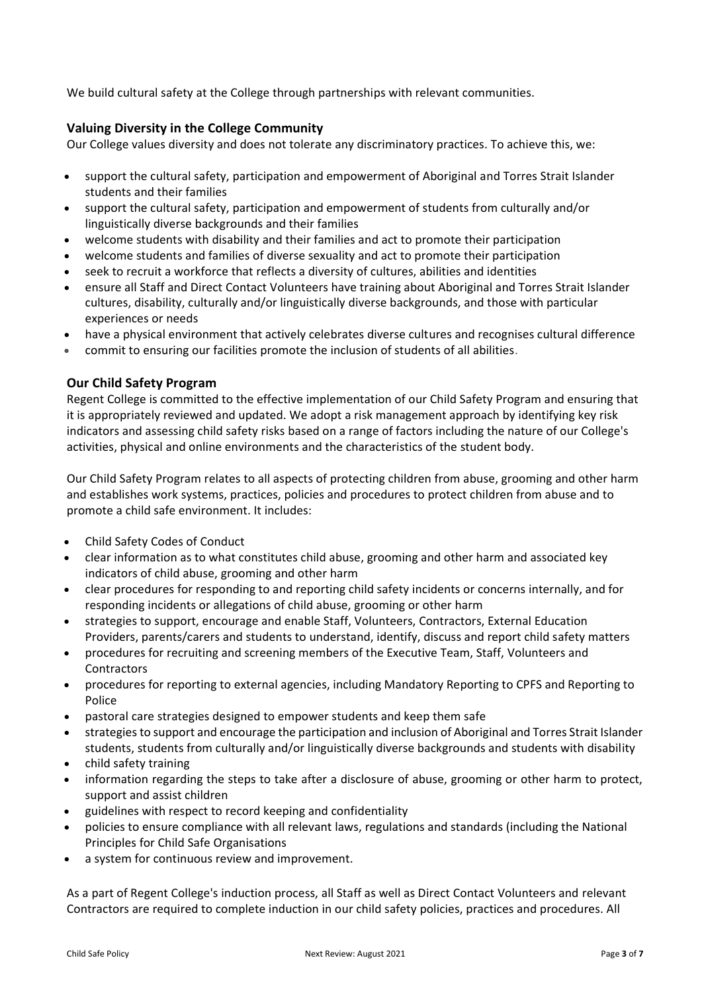We build cultural safety at the College through partnerships with relevant communities.

# **Valuing Diversity in the College Community**

Our College values diversity and does not tolerate any discriminatory practices. To achieve this, we:

- support the cultural safety, participation and empowerment of Aboriginal and Torres Strait Islander students and their families
- support the cultural safety, participation and empowerment of students from culturally and/or linguistically diverse backgrounds and their families
- welcome students with disability and their families and act to promote their participation
- welcome students and families of diverse sexuality and act to promote their participation
- seek to recruit a workforce that reflects a diversity of cultures, abilities and identities
- ensure all Staff and Direct Contact Volunteers have training about Aboriginal and Torres Strait Islander cultures, disability, culturally and/or linguistically diverse backgrounds, and those with particular experiences or needs
- have a physical environment that actively celebrates diverse cultures and recognises cultural difference
- commit to ensuring our facilities promote the inclusion of students of all abilities.

# **Our Child Safety Program**

Regent College is committed to the effective implementation of our Child Safety Program and ensuring that it is appropriately reviewed and updated. We adopt a risk management approach by identifying key risk indicators and assessing child safety risks based on a range of factors including the nature of our College's activities, physical and online environments and the characteristics of the student body.

Our Child Safety Program relates to all aspects of protecting children from abuse, grooming and other harm and establishes work systems, practices, policies and procedures to protect children from abuse and to promote a child safe environment. It includes:

- Child Safety Codes of Conduct
- clear information as to what constitutes child abuse, grooming and other harm and associated key indicators of child abuse, grooming and other harm
- clear procedures for responding to and reporting child safety incidents or concerns internally, and for responding incidents or allegations of child abuse, grooming or other harm
- strategies to support, encourage and enable Staff, Volunteers, Contractors, External Education Providers, parents/carers and students to understand, identify, discuss and report child safety matters
- procedures for recruiting and screening members of the Executive Team, Staff, Volunteers and **Contractors**
- procedures for reporting to external agencies, including Mandatory Reporting to CPFS and Reporting to Police
- pastoral care strategies designed to empower students and keep them safe
- strategies to support and encourage the participation and inclusion of Aboriginal and Torres Strait Islander students, students from culturally and/or linguistically diverse backgrounds and students with disability
- child safety training
- information regarding the steps to take after a disclosure of abuse, grooming or other harm to protect, support and assist children
- guidelines with respect to record keeping and confidentiality
- policies to ensure compliance with all relevant laws, regulations and standards (including the National Principles for Child Safe Organisations
- a system for continuous review and improvement.

As a part of Regent College's induction process, all Staff as well as Direct Contact Volunteers and relevant Contractors are required to complete induction in our child safety policies, practices and procedures. All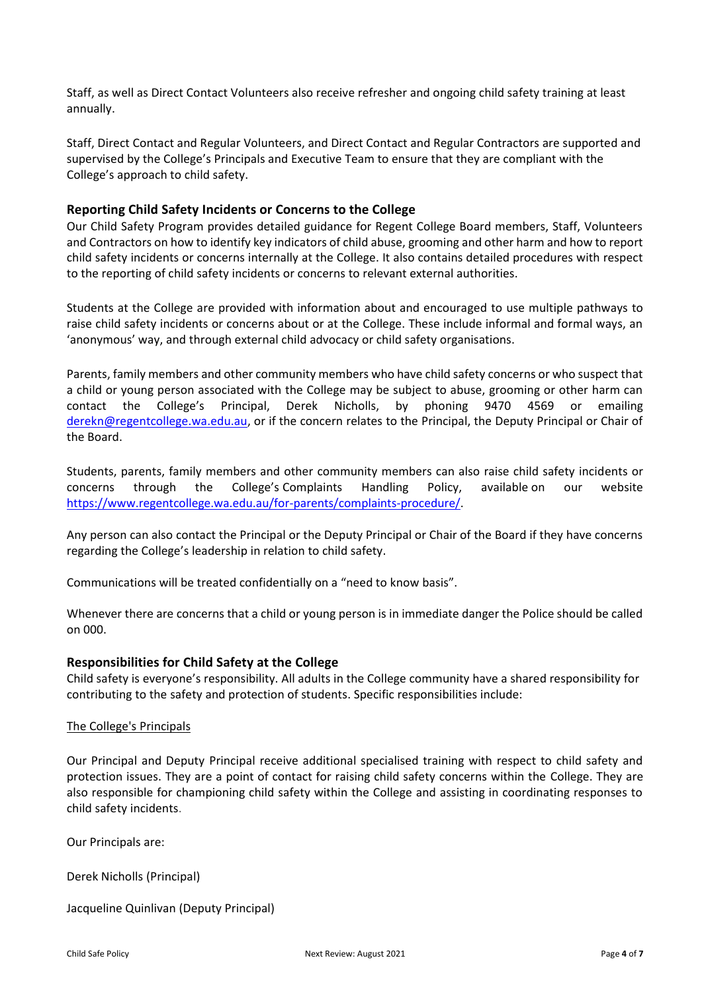Staff, as well as Direct Contact Volunteers also receive refresher and ongoing child safety training at least annually.

Staff, Direct Contact and Regular Volunteers, and Direct Contact and Regular Contractors are supported and supervised by the College's Principals and Executive Team to ensure that they are compliant with the College's approach to child safety.

# **Reporting Child Safety Incidents or Concerns to the College**

Our Child Safety Program provides detailed guidance for Regent College Board members, Staff, Volunteers and Contractors on how to identify key indicators of child abuse, grooming and other harm and how to report child safety incidents or concerns internally at the College. It also contains detailed procedures with respect to the reporting of child safety incidents or concerns to relevant external authorities.

Students at the College are provided with information about and encouraged to use multiple pathways to raise child safety incidents or concerns about or at the College. These include informal and formal ways, an 'anonymous' way, and through external child advocacy or child safety organisations.

Parents, family members and other community members who have child safety concerns or who suspect that a child or young person associated with the College may be subject to abuse, grooming or other harm can contact the College's Principal, Derek Nicholls, by phoning 9470 4569 or emailing [derekn@regentcollege.wa.edu.au,](mailto:derekn@regentcollege.wa.edu.au) or if the concern relates to the Principal, the Deputy Principal or Chair of the Board.

Students, parents, family members and other community members can also raise child safety incidents or concerns through the College's Complaints Handling Policy, available on our website [https://www.regentcollege.wa.edu.au/for-parents/complaints-procedure/.](https://www.regentcollege.wa.edu.au/for-parents/complaints-procedure/)

Any person can also contact the Principal or the Deputy Principal or Chair of the Board if they have concerns regarding the College's leadership in relation to child safety.

Communications will be treated confidentially on a "need to know basis".

Whenever there are concerns that a child or young person is in immediate danger the Police should be called on 000.

# **Responsibilities for Child Safety at the College**

Child safety is everyone's responsibility. All adults in the College community have a shared responsibility for contributing to the safety and protection of students. Specific responsibilities include:

#### The College's Principals

Our Principal and Deputy Principal receive additional specialised training with respect to child safety and protection issues. They are a point of contact for raising child safety concerns within the College. They are also responsible for championing child safety within the College and assisting in coordinating responses to child safety incidents.

Our Principals are:

Derek Nicholls (Principal)

Jacqueline Quinlivan (Deputy Principal)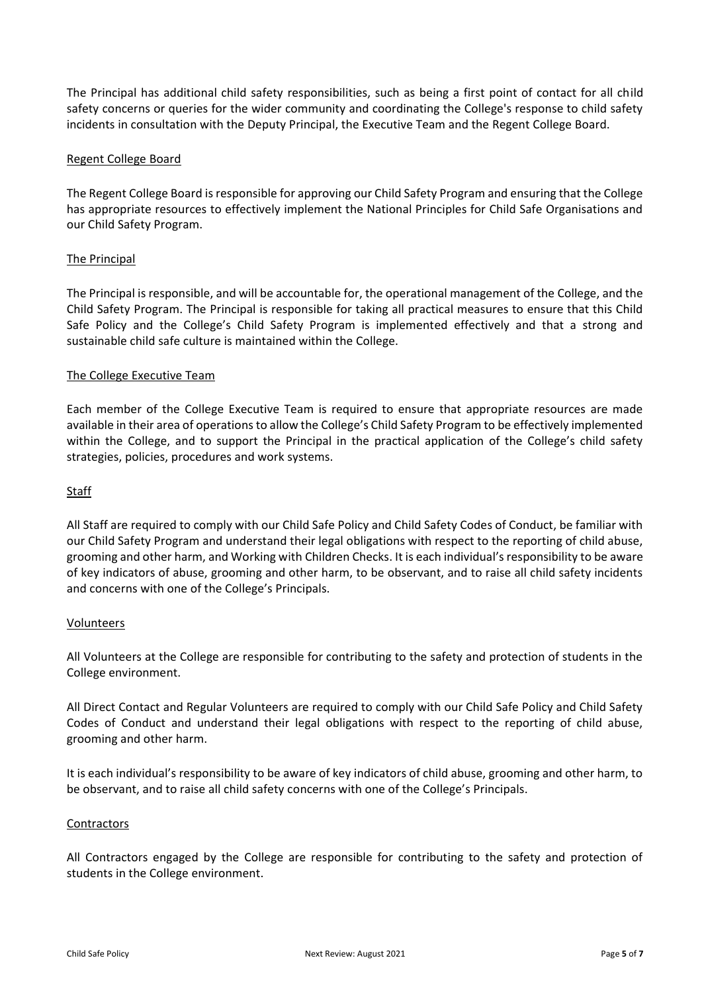The Principal has additional child safety responsibilities, such as being a first point of contact for all child safety concerns or queries for the wider community and coordinating the College's response to child safety incidents in consultation with the Deputy Principal, the Executive Team and the Regent College Board.

## Regent College Board

The Regent College Board is responsible for approving our Child Safety Program and ensuring that the College has appropriate resources to effectively implement the National Principles for Child Safe Organisations and our Child Safety Program.

#### The Principal

The Principal is responsible, and will be accountable for, the operational management of the College, and the Child Safety Program. The Principal is responsible for taking all practical measures to ensure that this Child Safe Policy and the College's Child Safety Program is implemented effectively and that a strong and sustainable child safe culture is maintained within the College.

#### The College Executive Team

Each member of the College Executive Team is required to ensure that appropriate resources are made available in their area of operations to allow the College's Child Safety Program to be effectively implemented within the College, and to support the Principal in the practical application of the College's child safety strategies, policies, procedures and work systems.

#### **Staff**

All Staff are required to comply with our Child Safe Policy and Child Safety Codes of Conduct, be familiar with our Child Safety Program and understand their legal obligations with respect to the reporting of child abuse, grooming and other harm, and Working with Children Checks. It is each individual's responsibility to be aware of key indicators of abuse, grooming and other harm, to be observant, and to raise all child safety incidents and concerns with one of the College's Principals.

#### Volunteers

All Volunteers at the College are responsible for contributing to the safety and protection of students in the College environment.

All Direct Contact and Regular Volunteers are required to comply with our Child Safe Policy and Child Safety Codes of Conduct and understand their legal obligations with respect to the reporting of child abuse, grooming and other harm.

It is each individual's responsibility to be aware of key indicators of child abuse, grooming and other harm, to be observant, and to raise all child safety concerns with one of the College's Principals.

#### **Contractors**

All Contractors engaged by the College are responsible for contributing to the safety and protection of students in the College environment.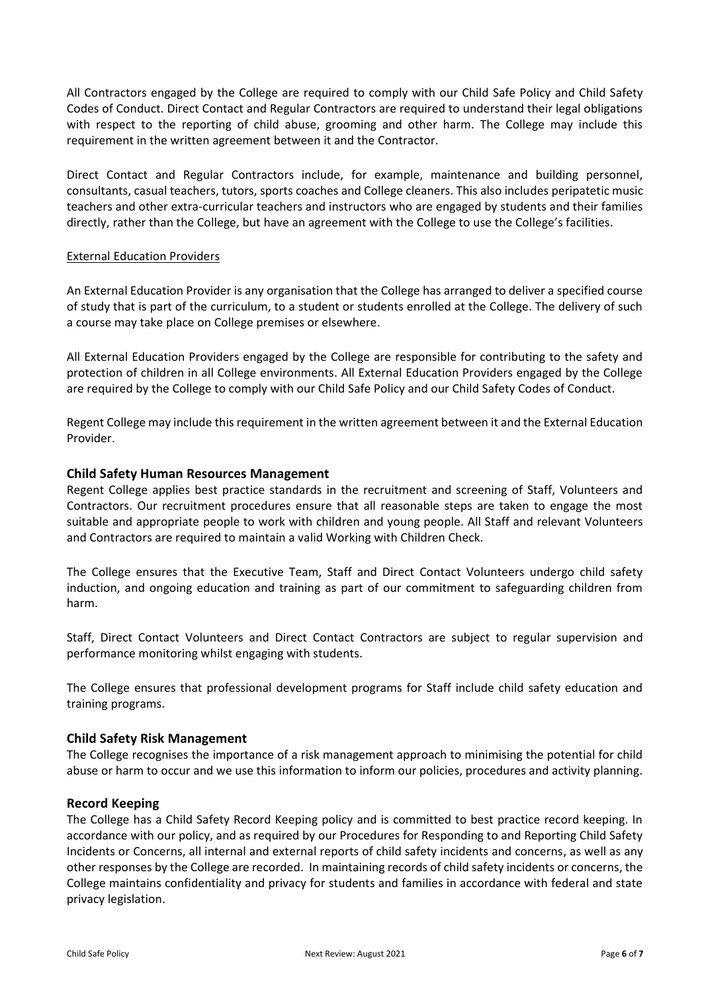All Contractors engaged by the College are required to comply with our Child Safe Policy and Child Safety Codes of Conduct. Direct Contact and Regular Contractors are required to understand their legal obligations with respect to the reporting of child abuse, grooming and other harm. The College may include this requirement in the written agreement between it and the Contractor.

Direct Contact and Regular Contractors include, for example, maintenance and building personnel, consultants, casual teachers, tutors, sports coaches and College cleaners. This also includes peripatetic music teachers and other extra-curricular teachers and instructors who are engaged by students and their families directly, rather than the College, but have an agreement with the College to use the College's facilities.

#### External Education Providers

An External Education Provider is any organisation that the College has arranged to deliver a specified course of study that is part of the curriculum, to a student or students enrolled at the College. The delivery of such a course may take place on College premises or elsewhere.

All External Education Providers engaged by the College are responsible for contributing to the safety and protection of children in all College environments. All External Education Providers engaged by the College are required by the College to comply with our Child Safe Policy and our Child Safety Codes of Conduct.

Regent College may include this requirement in the written agreement between it and the External Education Provider.

# **Child Safety Human Resources Management**

Regent College applies best practice standards in the recruitment and screening of Staff, Volunteers and Contractors. Our recruitment procedures ensure that all reasonable steps are taken to engage the most suitable and appropriate people to work with children and young people. All Staff and relevant Volunteers and Contractors are required to maintain a valid Working with Children Check.

The College ensures that the Executive Team, Staff and Direct Contact Volunteers undergo child safety induction, and ongoing education and training as part of our commitment to safeguarding children from harm.

Staff, Direct Contact Volunteers and Direct Contact Contractors are subject to regular supervision and performance monitoring whilst engaging with students.

The College ensures that professional development programs for Staff include child safety education and training programs.

# **Child Safety Risk Management**

The College recognises the importance of a risk management approach to minimising the potential for child abuse or harm to occur and we use this information to inform our policies, procedures and activity planning.

#### **Record Keeping**

The College has a Child Safety Record Keeping policy and is committed to best practice record keeping. In accordance with our policy, and as required by our Procedures for Responding to and Reporting Child Safety Incidents or Concerns, all internal and external reports of child safety incidents and concerns, as well as any other responses by the College are recorded. In maintaining records of child safety incidents or concerns, the College maintains confidentiality and privacy for students and families in accordance with federal and state privacy legislation.